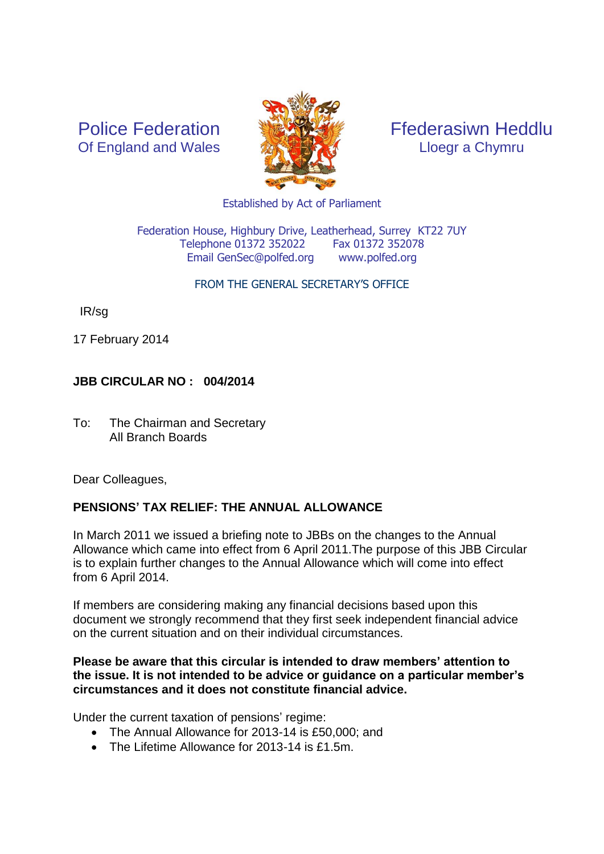Police Federation Of England and Wales



Ffederasiwn Heddlu Lloegr a Chymru

Established by Act of Parliament

Federation House, Highbury Drive, Leatherhead, Surrey KT22 7UY Telephone 01372 352022 Fax 01372 352078 Email GenSec@polfed.org [www.polfed.org](http://www.polfed.org/)

#### FROM THE GENERAL SECRETARY'S OFFICE

IR/sg

17 February 2014

# **JBB CIRCULAR NO : 004/2014**

To: The Chairman and Secretary All Branch Boards

Dear Colleagues,

# **PENSIONS' TAX RELIEF: THE ANNUAL ALLOWANCE**

In March 2011 we issued a briefing note to JBBs on the changes to the Annual Allowance which came into effect from 6 April 2011.The purpose of this JBB Circular is to explain further changes to the Annual Allowance which will come into effect from 6 April 2014.

If members are considering making any financial decisions based upon this document we strongly recommend that they first seek independent financial advice on the current situation and on their individual circumstances.

#### **Please be aware that this circular is intended to draw members' attention to the issue. It is not intended to be advice or guidance on a particular member's circumstances and it does not constitute financial advice.**

Under the current taxation of pensions' regime:

- The Annual Allowance for 2013-14 is £50,000; and
- The Lifetime Allowance for 2013-14 is £1.5m.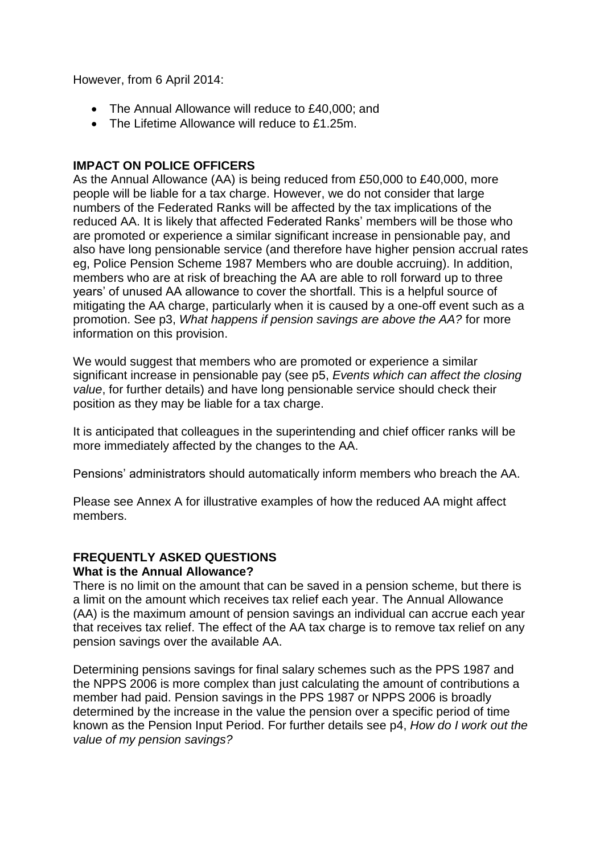However, from 6 April 2014:

- The Annual Allowance will reduce to £40,000; and
- The Lifetime Allowance will reduce to £1.25m.

# **IMPACT ON POLICE OFFICERS**

As the Annual Allowance (AA) is being reduced from £50,000 to £40,000, more people will be liable for a tax charge. However, we do not consider that large numbers of the Federated Ranks will be affected by the tax implications of the reduced AA. It is likely that affected Federated Ranks' members will be those who are promoted or experience a similar significant increase in pensionable pay, and also have long pensionable service (and therefore have higher pension accrual rates eg, Police Pension Scheme 1987 Members who are double accruing). In addition, members who are at risk of breaching the AA are able to roll forward up to three years' of unused AA allowance to cover the shortfall. This is a helpful source of mitigating the AA charge, particularly when it is caused by a one-off event such as a promotion. See p3, *What happens if pension savings are above the AA?* for more information on this provision.

We would suggest that members who are promoted or experience a similar significant increase in pensionable pay (see p5, *Events which can affect the closing value*, for further details) and have long pensionable service should check their position as they may be liable for a tax charge.

It is anticipated that colleagues in the superintending and chief officer ranks will be more immediately affected by the changes to the AA.

Pensions' administrators should automatically inform members who breach the AA.

Please see Annex A for illustrative examples of how the reduced AA might affect members.

# **FREQUENTLY ASKED QUESTIONS**

## **What is the Annual Allowance?**

There is no limit on the amount that can be saved in a pension scheme, but there is a limit on the amount which receives tax relief each year. The Annual Allowance (AA) is the maximum amount of pension savings an individual can accrue each year that receives tax relief. The effect of the AA tax charge is to remove tax relief on any pension savings over the available AA.

Determining pensions savings for final salary schemes such as the PPS 1987 and the NPPS 2006 is more complex than just calculating the amount of contributions a member had paid. Pension savings in the PPS 1987 or NPPS 2006 is broadly determined by the increase in the value the pension over a specific period of time known as the Pension Input Period. For further details see p4, *How do I work out the value of my pension savings?*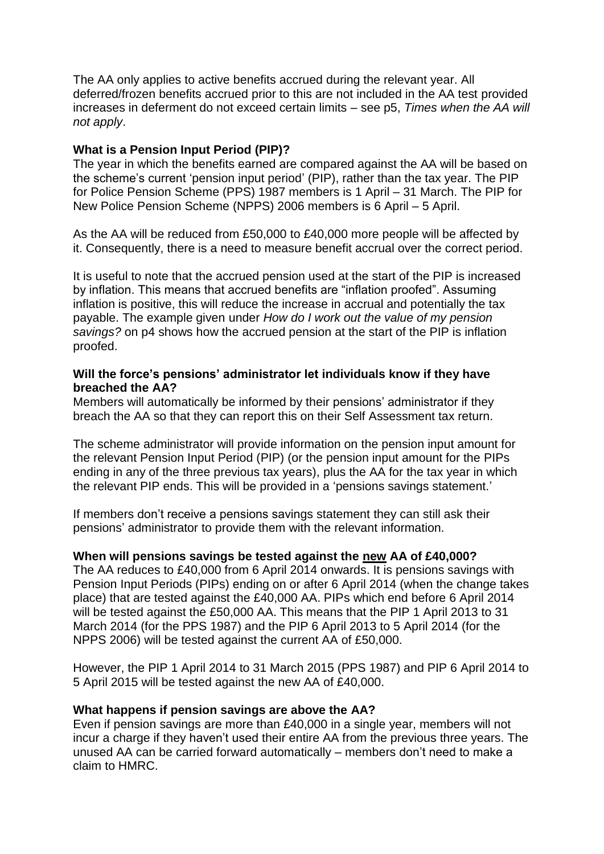The AA only applies to active benefits accrued during the relevant year. All deferred/frozen benefits accrued prior to this are not included in the AA test provided increases in deferment do not exceed certain limits – see p5, *Times when the AA will not apply*.

## **What is a Pension Input Period (PIP)?**

The year in which the benefits earned are compared against the AA will be based on the scheme's current 'pension input period' (PIP), rather than the tax year. The PIP for Police Pension Scheme (PPS) 1987 members is 1 April – 31 March. The PIP for New Police Pension Scheme (NPPS) 2006 members is 6 April – 5 April.

As the AA will be reduced from £50,000 to £40,000 more people will be affected by it. Consequently, there is a need to measure benefit accrual over the correct period.

It is useful to note that the accrued pension used at the start of the PIP is increased by inflation. This means that accrued benefits are "inflation proofed". Assuming inflation is positive, this will reduce the increase in accrual and potentially the tax payable. The example given under *How do I work out the value of my pension savings?* on p4 shows how the accrued pension at the start of the PIP is inflation proofed.

#### **Will the force's pensions' administrator let individuals know if they have breached the AA?**

Members will automatically be informed by their pensions' administrator if they breach the AA so that they can report this on their Self Assessment tax return.

The scheme administrator will provide information on the pension input amount for the relevant Pension Input Period (PIP) (or the pension input amount for the PIPs ending in any of the three previous tax years), plus the AA for the tax year in which the relevant PIP ends. This will be provided in a 'pensions savings statement.'

If members don't receive a pensions savings statement they can still ask their pensions' administrator to provide them with the relevant information.

#### **When will pensions savings be tested against the new AA of £40,000?**

The AA reduces to £40,000 from 6 April 2014 onwards. It is pensions savings with Pension Input Periods (PIPs) ending on or after 6 April 2014 (when the change takes place) that are tested against the £40,000 AA. PIPs which end before 6 April 2014 will be tested against the £50,000 AA. This means that the PIP 1 April 2013 to 31 March 2014 (for the PPS 1987) and the PIP 6 April 2013 to 5 April 2014 (for the NPPS 2006) will be tested against the current AA of £50,000.

However, the PIP 1 April 2014 to 31 March 2015 (PPS 1987) and PIP 6 April 2014 to 5 April 2015 will be tested against the new AA of £40,000.

#### **What happens if pension savings are above the AA?**

Even if pension savings are more than £40,000 in a single year, members will not incur a charge if they haven't used their entire AA from the previous three years. The unused AA can be carried forward automatically – members don't need to make a claim to HMRC.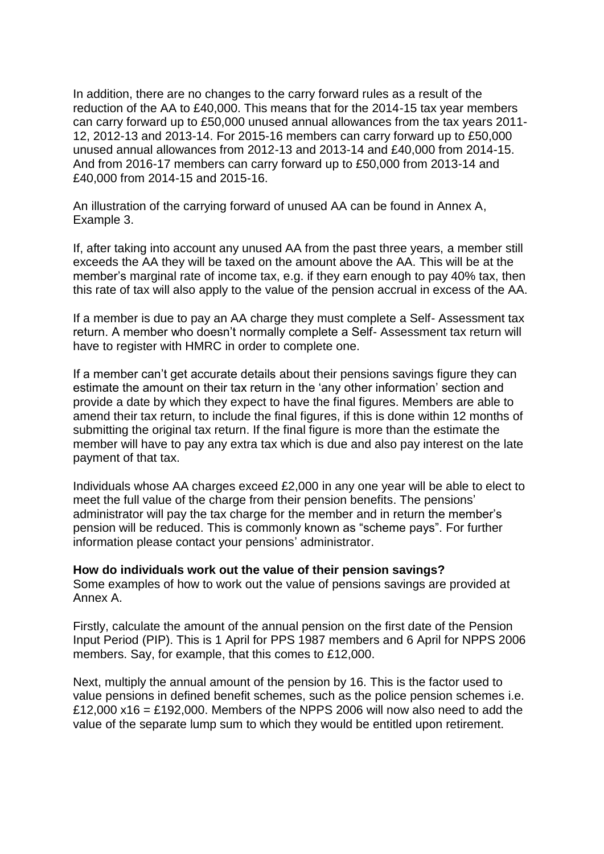In addition, there are no changes to the carry forward rules as a result of the reduction of the AA to £40,000. This means that for the 2014-15 tax year members can carry forward up to £50,000 unused annual allowances from the tax years 2011- 12, 2012-13 and 2013-14. For 2015-16 members can carry forward up to £50,000 unused annual allowances from 2012-13 and 2013-14 and £40,000 from 2014-15. And from 2016-17 members can carry forward up to £50,000 from 2013-14 and £40,000 from 2014-15 and 2015-16.

An illustration of the carrying forward of unused AA can be found in Annex A, Example 3.

If, after taking into account any unused AA from the past three years, a member still exceeds the AA they will be taxed on the amount above the AA. This will be at the member's marginal rate of income tax, e.g. if they earn enough to pay 40% tax, then this rate of tax will also apply to the value of the pension accrual in excess of the AA.

If a member is due to pay an AA charge they must complete a Self- Assessment tax return. A member who doesn't normally complete a Self- Assessment tax return will have to register with HMRC in order to complete one.

If a member can't get accurate details about their pensions savings figure they can estimate the amount on their tax return in the 'any other information' section and provide a date by which they expect to have the final figures. Members are able to amend their tax return, to include the final figures, if this is done within 12 months of submitting the original tax return. If the final figure is more than the estimate the member will have to pay any extra tax which is due and also pay interest on the late payment of that tax.

Individuals whose AA charges exceed £2,000 in any one year will be able to elect to meet the full value of the charge from their pension benefits. The pensions' administrator will pay the tax charge for the member and in return the member's pension will be reduced. This is commonly known as "scheme pays". For further information please contact your pensions' administrator.

#### **How do individuals work out the value of their pension savings?**

Some examples of how to work out the value of pensions savings are provided at Annex A.

Firstly, calculate the amount of the annual pension on the first date of the Pension Input Period (PIP). This is 1 April for PPS 1987 members and 6 April for NPPS 2006 members. Say, for example, that this comes to £12,000.

Next, multiply the annual amount of the pension by 16. This is the factor used to value pensions in defined benefit schemes, such as the police pension schemes i.e. £12,000  $x16 = £192,000$ . Members of the NPPS 2006 will now also need to add the value of the separate lump sum to which they would be entitled upon retirement.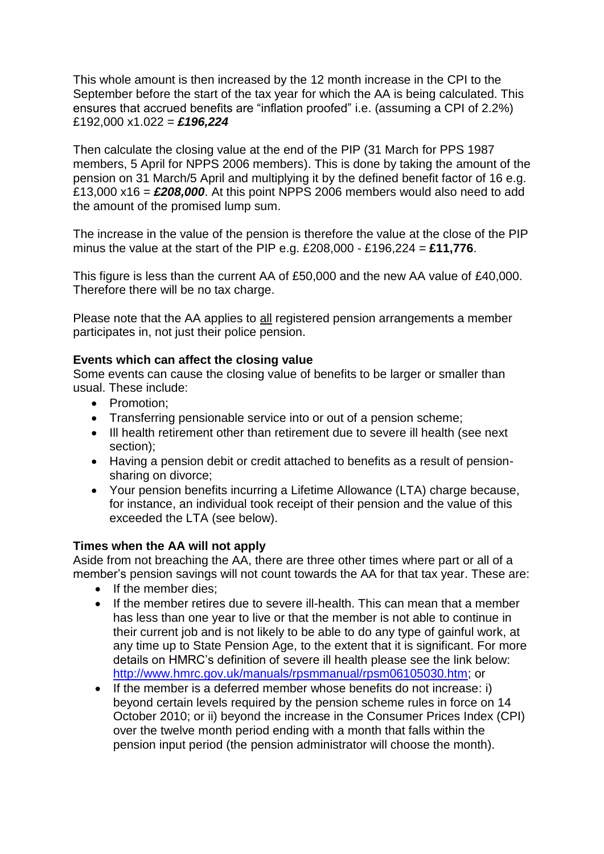This whole amount is then increased by the 12 month increase in the CPI to the September before the start of the tax year for which the AA is being calculated. This ensures that accrued benefits are "inflation proofed" i.e. (assuming a CPI of 2.2%) £192,000 x1.022 = *£196,224*

Then calculate the closing value at the end of the PIP (31 March for PPS 1987 members, 5 April for NPPS 2006 members). This is done by taking the amount of the pension on 31 March/5 April and multiplying it by the defined benefit factor of 16 e.g. £13,000 x16 = *£208,000*. At this point NPPS 2006 members would also need to add the amount of the promised lump sum.

The increase in the value of the pension is therefore the value at the close of the PIP minus the value at the start of the PIP e.g. £208,000 - £196,224 = **£11,776**.

This figure is less than the current AA of £50,000 and the new AA value of £40,000. Therefore there will be no tax charge.

Please note that the AA applies to all registered pension arrangements a member participates in, not just their police pension.

# **Events which can affect the closing value**

Some events can cause the closing value of benefits to be larger or smaller than usual. These include:

- Promotion:
- Transferring pensionable service into or out of a pension scheme;
- Ill health retirement other than retirement due to severe ill health (see next section);
- Having a pension debit or credit attached to benefits as a result of pensionsharing on divorce;
- Your pension benefits incurring a Lifetime Allowance (LTA) charge because, for instance, an individual took receipt of their pension and the value of this exceeded the LTA (see below).

## **Times when the AA will not apply**

Aside from not breaching the AA, there are three other times where part or all of a member's pension savings will not count towards the AA for that tax year. These are:

- If the member dies:
- If the member retires due to severe ill-health. This can mean that a member has less than one year to live or that the member is not able to continue in their current job and is not likely to be able to do any type of gainful work, at any time up to State Pension Age, to the extent that it is significant. For more details on HMRC's definition of severe ill health please see the link below: [http://www.hmrc.gov.uk/manuals/rpsmmanual/rpsm06105030.htm;](http://www.hmrc.gov.uk/manuals/rpsmmanual/rpsm06105030.htm) or
- If the member is a deferred member whose benefits do not increase: i) beyond certain levels required by the pension scheme rules in force on 14 October 2010; or ii) beyond the increase in the Consumer Prices Index (CPI) over the twelve month period ending with a month that falls within the pension input period (the pension administrator will choose the month).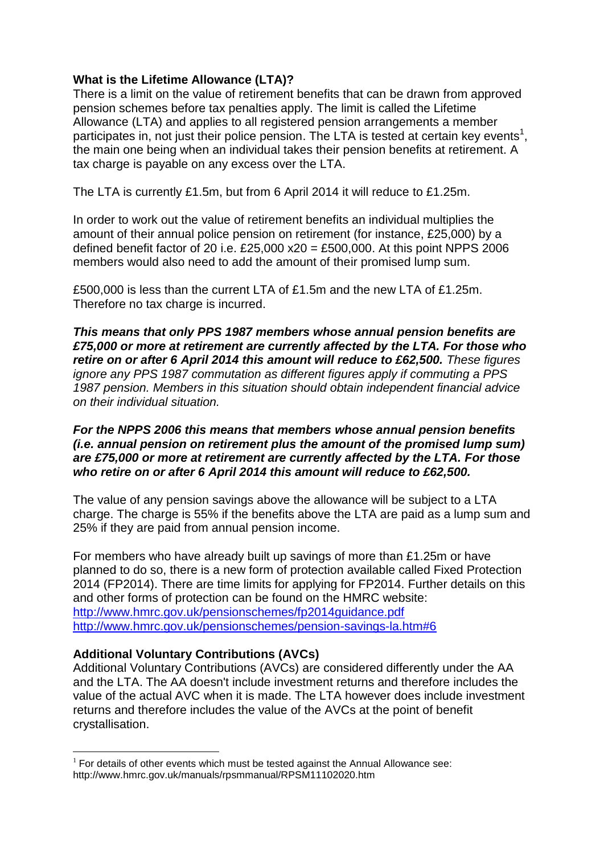# **What is the Lifetime Allowance (LTA)?**

There is a limit on the value of retirement benefits that can be drawn from approved pension schemes before tax penalties apply. The limit is called the Lifetime Allowance (LTA) and applies to all registered pension arrangements a member participates in, not just their police pension. The LTA is tested at certain key events<sup>1</sup>, the main one being when an individual takes their pension benefits at retirement. A tax charge is payable on any excess over the LTA.

The LTA is currently £1.5m, but from 6 April 2014 it will reduce to £1.25m.

In order to work out the value of retirement benefits an individual multiplies the amount of their annual police pension on retirement (for instance, £25,000) by a defined benefit factor of 20 i.e.  $£25,000 \times 20 = £500,000$ . At this point NPPS 2006 members would also need to add the amount of their promised lump sum.

£500,000 is less than the current LTA of £1.5m and the new LTA of £1.25m. Therefore no tax charge is incurred.

*This means that only PPS 1987 members whose annual pension benefits are £75,000 or more at retirement are currently affected by the LTA. For those who retire on or after 6 April 2014 this amount will reduce to £62,500. These figures ignore any PPS 1987 commutation as different figures apply if commuting a PPS 1987 pension. Members in this situation should obtain independent financial advice on their individual situation.*

#### *For the NPPS 2006 this means that members whose annual pension benefits (i.e. annual pension on retirement plus the amount of the promised lump sum) are £75,000 or more at retirement are currently affected by the LTA. For those who retire on or after 6 April 2014 this amount will reduce to £62,500.*

The value of any pension savings above the allowance will be subject to a LTA charge. The charge is 55% if the benefits above the LTA are paid as a lump sum and 25% if they are paid from annual pension income.

For members who have already built up savings of more than £1.25m or have planned to do so, there is a new form of protection available called Fixed Protection 2014 (FP2014). There are time limits for applying for FP2014. Further details on this and other forms of protection can be found on the HMRC website: <http://www.hmrc.gov.uk/pensionschemes/fp2014guidance.pdf> <http://www.hmrc.gov.uk/pensionschemes/pension-savings-la.htm#6>

## **Additional Voluntary Contributions (AVCs)**

1

Additional Voluntary Contributions (AVCs) are considered differently under the AA and the LTA. The AA doesn't include investment returns and therefore includes the value of the actual AVC when it is made. The LTA however does include investment returns and therefore includes the value of the AVCs at the point of benefit crystallisation.

 $1$  For details of other events which must be tested against the Annual Allowance see: http://www.hmrc.gov.uk/manuals/rpsmmanual/RPSM11102020.htm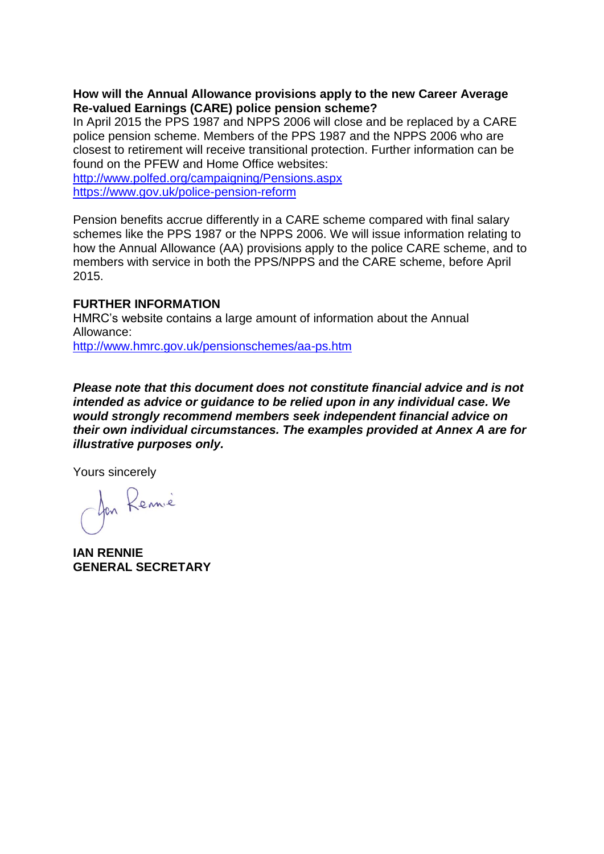## **How will the Annual Allowance provisions apply to the new Career Average Re-valued Earnings (CARE) police pension scheme?**

In April 2015 the PPS 1987 and NPPS 2006 will close and be replaced by a CARE police pension scheme. Members of the PPS 1987 and the NPPS 2006 who are closest to retirement will receive transitional protection. Further information can be found on the PFEW and Home Office websites:

<http://www.polfed.org/campaigning/Pensions.aspx> <https://www.gov.uk/police-pension-reform>

Pension benefits accrue differently in a CARE scheme compared with final salary schemes like the PPS 1987 or the NPPS 2006. We will issue information relating to how the Annual Allowance (AA) provisions apply to the police CARE scheme, and to members with service in both the PPS/NPPS and the CARE scheme, before April 2015.

#### **FURTHER INFORMATION**

HMRC's website contains a large amount of information about the Annual Allowance:

<http://www.hmrc.gov.uk/pensionschemes/aa-ps.htm>

*Please note that this document does not constitute financial advice and is not intended as advice or guidance to be relied upon in any individual case. We would strongly recommend members seek independent financial advice on their own individual circumstances. The examples provided at Annex A are for illustrative purposes only.*

Yours sincerely

Jan Rennie

**IAN RENNIE GENERAL SECRETARY**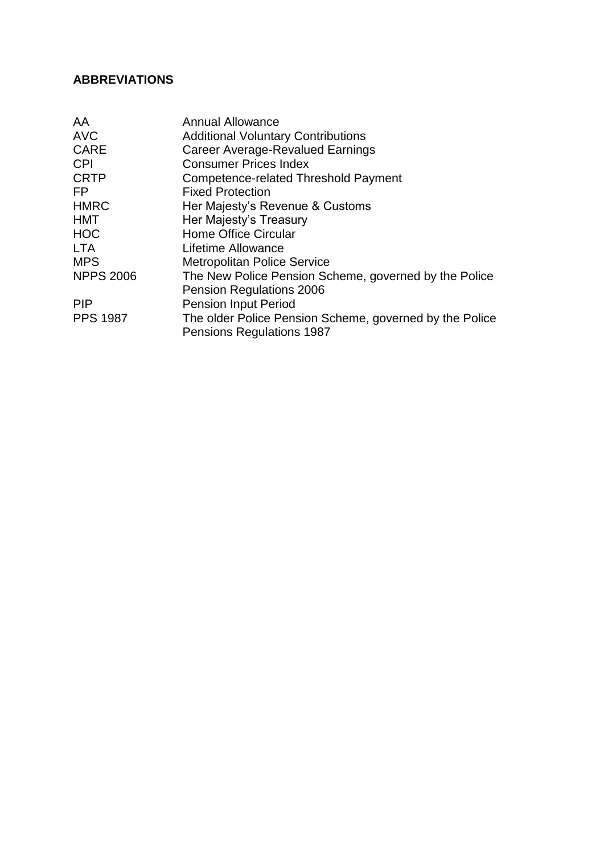# **ABBREVIATIONS**

| AA               | <b>Annual Allowance</b>                                 |
|------------------|---------------------------------------------------------|
| <b>AVC</b>       | <b>Additional Voluntary Contributions</b>               |
| <b>CARE</b>      | Career Average-Revalued Earnings                        |
| <b>CPI</b>       | <b>Consumer Prices Index</b>                            |
| <b>CRTP</b>      | Competence-related Threshold Payment                    |
| FP.              | <b>Fixed Protection</b>                                 |
| <b>HMRC</b>      | Her Majesty's Revenue & Customs                         |
| <b>HMT</b>       | Her Majesty's Treasury                                  |
| <b>HOC</b>       | <b>Home Office Circular</b>                             |
| <b>LTA</b>       | Lifetime Allowance                                      |
| <b>MPS</b>       | <b>Metropolitan Police Service</b>                      |
| <b>NPPS 2006</b> | The New Police Pension Scheme, governed by the Police   |
|                  | <b>Pension Regulations 2006</b>                         |
| <b>PIP</b>       | <b>Pension Input Period</b>                             |
| <b>PPS 1987</b>  | The older Police Pension Scheme, governed by the Police |
|                  | <b>Pensions Regulations 1987</b>                        |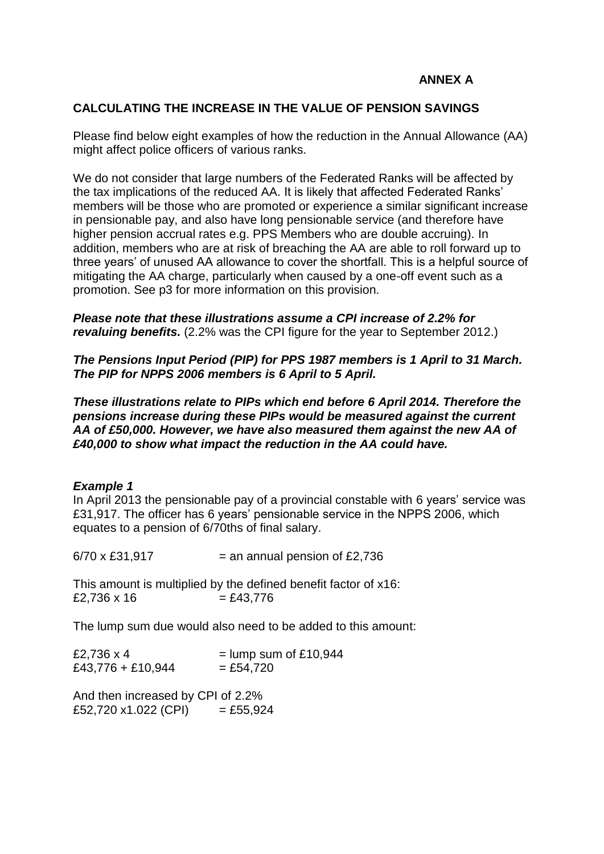# **ANNEX A**

## **CALCULATING THE INCREASE IN THE VALUE OF PENSION SAVINGS**

Please find below eight examples of how the reduction in the Annual Allowance (AA) might affect police officers of various ranks.

We do not consider that large numbers of the Federated Ranks will be affected by the tax implications of the reduced AA. It is likely that affected Federated Ranks' members will be those who are promoted or experience a similar significant increase in pensionable pay, and also have long pensionable service (and therefore have higher pension accrual rates e.g. PPS Members who are double accruing). In addition, members who are at risk of breaching the AA are able to roll forward up to three years' of unused AA allowance to cover the shortfall. This is a helpful source of mitigating the AA charge, particularly when caused by a one-off event such as a promotion. See p3 for more information on this provision.

*Please note that these illustrations assume a CPI increase of 2.2% for revaluing benefits.* (2.2% was the CPI figure for the year to September 2012.)

*The Pensions Input Period (PIP) for PPS 1987 members is 1 April to 31 March. The PIP for NPPS 2006 members is 6 April to 5 April.* 

*These illustrations relate to PIPs which end before 6 April 2014. Therefore the pensions increase during these PIPs would be measured against the current AA of £50,000. However, we have also measured them against the new AA of £40,000 to show what impact the reduction in the AA could have.*

#### *Example 1*

In April 2013 the pensionable pay of a provincial constable with 6 years' service was £31,917. The officer has 6 years' pensionable service in the NPPS 2006, which equates to a pension of 6/70ths of final salary.

 $6/70 \times £31,917$  = an annual pension of £2,736

This amount is multiplied by the defined benefit factor of x16:  $£2.736 \times 16 = £43.776$ 

The lump sum due would also need to be added to this amount:

| £2,736 x 4        | $=$ lump sum of £10,944 |
|-------------------|-------------------------|
| £43,776 + £10,944 | $=$ £54,720             |

And then increased by CPI of 2.2%  $£52,720 \times 1.022$  (CPI) = £55,924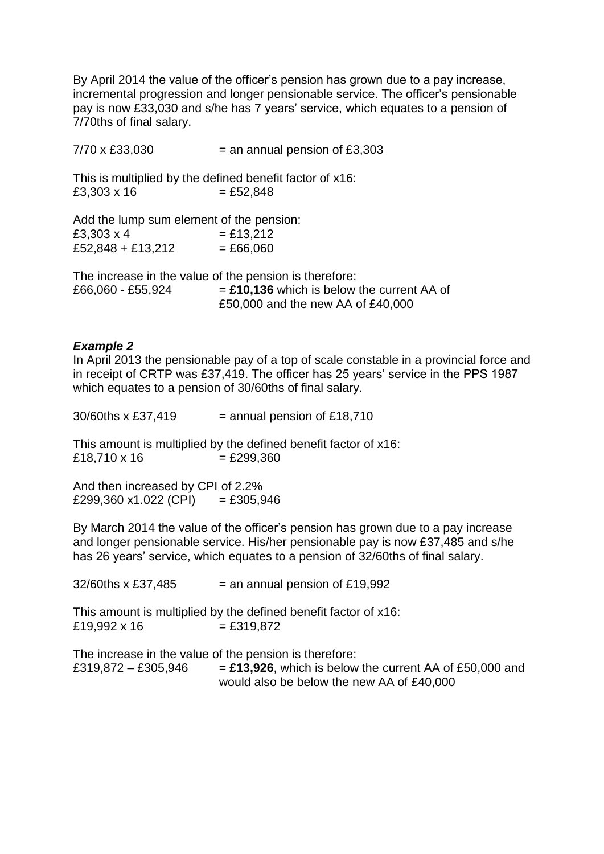By April 2014 the value of the officer's pension has grown due to a pay increase, incremental progression and longer pensionable service. The officer's pensionable pay is now £33,030 and s/he has 7 years' service, which equates to a pension of 7/70ths of final salary.

| 7/70 x £33,030                           | $=$ an annual pension of £3,303                                         |
|------------------------------------------|-------------------------------------------------------------------------|
| £3,303 x 16                              | This is multiplied by the defined benefit factor of x16:<br>$= £52,848$ |
| Add the lump sum element of the pension: |                                                                         |
| £3,303 x 4                               | $= £13,212$                                                             |
| £52,848 + £13,212                        | $= £66,060$                                                             |
|                                          | The increase in the value of the pension is therefore:                  |
| £66,060 - £55,924                        | $=$ £10,136 which is below the current AA of                            |
|                                          | £50,000 and the new AA of £40,000                                       |

## *Example 2*

In April 2013 the pensionable pay of a top of scale constable in a provincial force and in receipt of CRTP was £37,419. The officer has 25 years' service in the PPS 1987 which equates to a pension of 30/60ths of final salary.

 $30/60$ ths x £37,419 = annual pension of £18,710

This amount is multiplied by the defined benefit factor of x16:  $£18,710 \times 16$  = £299,360

And then increased by CPI of 2.2%  $£299,360 x1.022 (CPI) = £305,946$ 

By March 2014 the value of the officer's pension has grown due to a pay increase and longer pensionable service. His/her pensionable pay is now £37,485 and s/he has 26 years' service, which equates to a pension of 32/60ths of final salary.

| 32/60ths x £37,485  | $=$ an annual pension of £19,992                                                                                                                                 |
|---------------------|------------------------------------------------------------------------------------------------------------------------------------------------------------------|
| £19,992 x 16        | This amount is multiplied by the defined benefit factor of x16:<br>$= £319,872$                                                                                  |
| £319,872 - £305,946 | The increase in the value of the pension is therefore:<br>$=$ £13,926, which is below the current AA of £50,000 and<br>would also be below the new AA of £40,000 |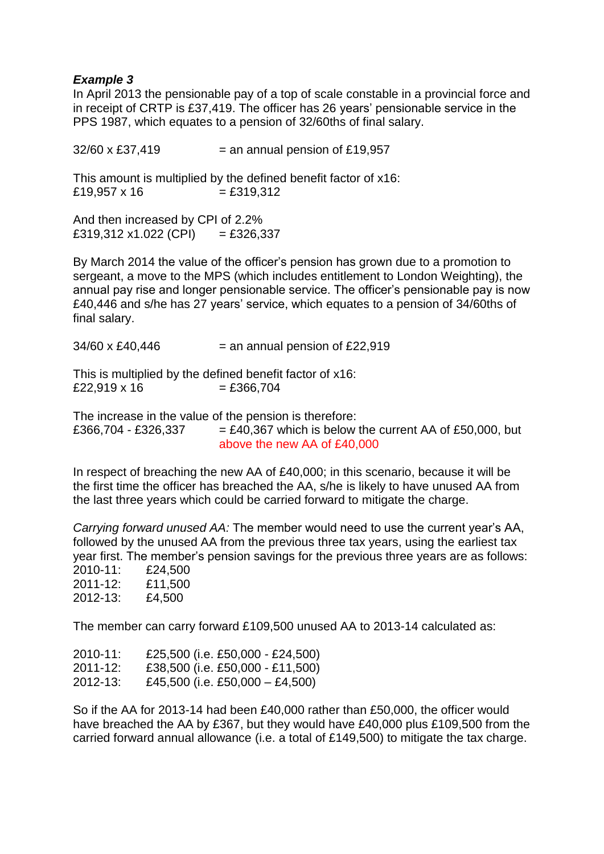## *Example 3*

In April 2013 the pensionable pay of a top of scale constable in a provincial force and in receipt of CRTP is £37,419. The officer has 26 years' pensionable service in the PPS 1987, which equates to a pension of 32/60ths of final salary.

 $32/60 \times £37,419$  = an annual pension of £19,957 This amount is multiplied by the defined benefit factor of x16:  $£19,957 \times 16$  = £319,312

And then increased by CPI of 2.2%  $£319,312 \times 1.022$  (CPI) = £326,337

By March 2014 the value of the officer's pension has grown due to a promotion to sergeant, a move to the MPS (which includes entitlement to London Weighting), the annual pay rise and longer pensionable service. The officer's pensionable pay is now £40,446 and s/he has 27 years' service, which equates to a pension of 34/60ths of final salary.

 $34/60 \times £40,446$  = an annual pension of £22,919

This is multiplied by the defined benefit factor of x16:  $£22,919 \times 16$  = £366,704

The increase in the value of the pension is therefore: £366,704 - £326,337  $= \text{\pounds}40,367$  which is below the current AA of £50,000, but above the new AA of £40,000

In respect of breaching the new AA of £40,000; in this scenario, because it will be the first time the officer has breached the AA, s/he is likely to have unused AA from the last three years which could be carried forward to mitigate the charge.

*Carrying forward unused AA:* The member would need to use the current year's AA, followed by the unused AA from the previous three tax years, using the earliest tax year first. The member's pension savings for the previous three years are as follows: 2010-11: £24,500 2011-12: £11,500 2012-13: £4,500

The member can carry forward £109,500 unused AA to 2013-14 calculated as:

| 2010-11:      | £25,500 (i.e. £50,000 - £24,500)  |
|---------------|-----------------------------------|
| $2011 - 12$ : | £38,500 (i.e. £50,000 - £11,500)  |
| $2012 - 13$ : | £45,500 (i.e. £50,000 $-$ £4,500) |

So if the AA for 2013-14 had been £40,000 rather than £50,000, the officer would have breached the AA by £367, but they would have £40,000 plus £109,500 from the carried forward annual allowance (i.e. a total of £149,500) to mitigate the tax charge.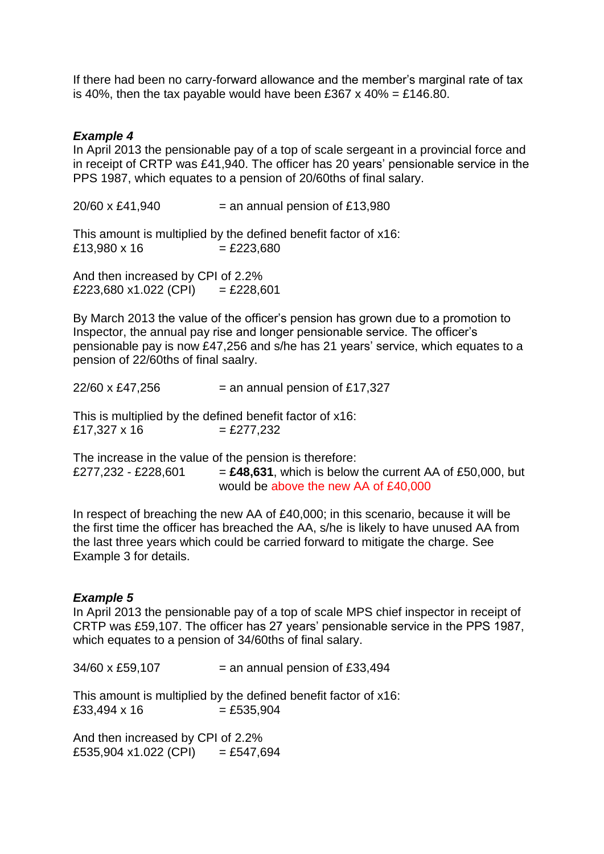If there had been no carry-forward allowance and the member's marginal rate of tax is 40%, then the tax payable would have been £367 x 40% = £146.80.

## *Example 4*

In April 2013 the pensionable pay of a top of scale sergeant in a provincial force and in receipt of CRTP was £41,940. The officer has 20 years' pensionable service in the PPS 1987, which equates to a pension of 20/60ths of final salary.

 $20/60 \times \text{\pounds}41.940$  = an annual pension of £13,980

This amount is multiplied by the defined benefit factor of x16:  $£13,980 \times 16$  = £223,680

And then increased by CPI of 2.2% £223,680 x1.022 (CPI) = £228,601

By March 2013 the value of the officer's pension has grown due to a promotion to Inspector, the annual pay rise and longer pensionable service. The officer's pensionable pay is now £47,256 and s/he has 21 years' service, which equates to a pension of 22/60ths of final saalry.

 $22/60 \times \text{\pounds}47.256$  = an annual pension of £17,327

This is multiplied by the defined benefit factor of x16:  $£17,327 \times 16$  = £277,232

The increase in the value of the pension is therefore: £277,232 - £228,601  $=$  £48,631, which is below the current AA of £50,000, but would be above the new AA of £40,000

In respect of breaching the new AA of £40,000; in this scenario, because it will be the first time the officer has breached the AA, s/he is likely to have unused AA from the last three years which could be carried forward to mitigate the charge. See Example 3 for details.

#### *Example 5*

In April 2013 the pensionable pay of a top of scale MPS chief inspector in receipt of CRTP was £59,107. The officer has 27 years' pensionable service in the PPS 1987, which equates to a pension of 34/60ths of final salary.

 $34/60 \times £59,107$  = an annual pension of £33,494

This amount is multiplied by the defined benefit factor of x16:  $£33,494 \times 16$  = £535,904

And then increased by CPI of 2.2% £535,904 x1.022 (CPI)  $=$  £547,694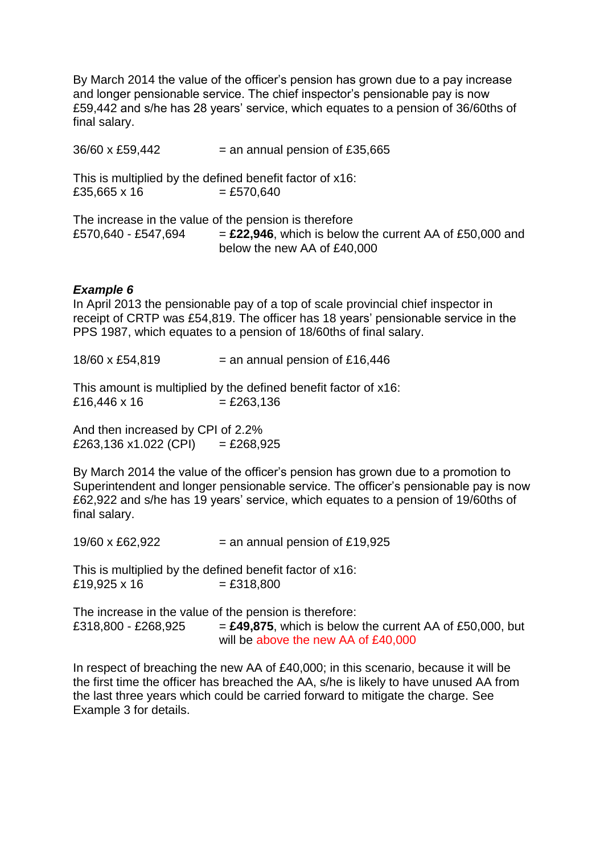By March 2014 the value of the officer's pension has grown due to a pay increase and longer pensionable service. The chief inspector's pensionable pay is now £59,442 and s/he has 28 years' service, which equates to a pension of 36/60ths of final salary.

 $36/60 \times £59,442$  = an annual pension of £35,665 This is multiplied by the defined benefit factor of x16:  $£35,665 \times 16$  = £570,640 The increase in the value of the pension is therefore £570,640 - £547,694  $=$  £22,946, which is below the current AA of £50,000 and below the new AA of £40,000

## *Example 6*

In April 2013 the pensionable pay of a top of scale provincial chief inspector in receipt of CRTP was £54,819. The officer has 18 years' pensionable service in the PPS 1987, which equates to a pension of 18/60ths of final salary.

 $18/60 \times £54,819$  = an annual pension of £16,446

This amount is multiplied by the defined benefit factor of x16:  $£16,446 \times 16$  = £263,136

And then increased by CPI of 2.2%  $£263,136 \times 1.022$  (CPI) = £268,925

By March 2014 the value of the officer's pension has grown due to a promotion to Superintendent and longer pensionable service. The officer's pensionable pay is now £62,922 and s/he has 19 years' service, which equates to a pension of 19/60ths of final salary.

 $19/60 \times \text{\pounds}62,922$  = an annual pension of £19,925

This is multiplied by the defined benefit factor of x16:  $£19,925 \times 16$  = £318,800

The increase in the value of the pension is therefore: £318,800 - £268,925  $=$  £49,875, which is below the current AA of £50,000, but will be above the new AA of £40,000

In respect of breaching the new AA of £40,000; in this scenario, because it will be the first time the officer has breached the AA, s/he is likely to have unused AA from the last three years which could be carried forward to mitigate the charge. See Example 3 for details.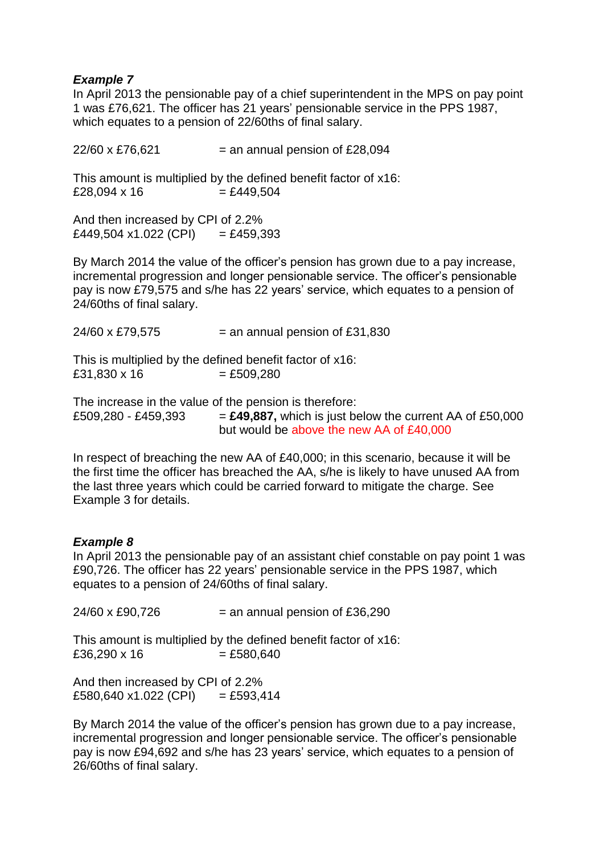# *Example 7*

In April 2013 the pensionable pay of a chief superintendent in the MPS on pay point 1 was £76,621. The officer has 21 years' pensionable service in the PPS 1987, which equates to a pension of 22/60ths of final salary.

 $22/60 \times £76,621$  = an annual pension of £28,094 This amount is multiplied by the defined benefit factor of x16:  $£28,094 \times 16$  = £449,504

And then increased by CPI of 2.2%  $£449,504 \times 1.022$  (CPI) = £459,393

By March 2014 the value of the officer's pension has grown due to a pay increase, incremental progression and longer pensionable service. The officer's pensionable pay is now £79,575 and s/he has 22 years' service, which equates to a pension of 24/60ths of final salary.

| 24/60 x £79,575 | $=$ an annual pension of £31,830                         |
|-----------------|----------------------------------------------------------|
|                 | This is multiplied by the defined benefit factor of x16: |
| £31,830 x 16    | $= £509,280$                                             |

The increase in the value of the pension is therefore: £509,280 - £459,393  $=$  £49,887, which is just below the current AA of £50,000 but would be above the new AA of £40,000

In respect of breaching the new AA of £40,000; in this scenario, because it will be the first time the officer has breached the AA, s/he is likely to have unused AA from the last three years which could be carried forward to mitigate the charge. See Example 3 for details.

# *Example 8*

In April 2013 the pensionable pay of an assistant chief constable on pay point 1 was £90,726. The officer has 22 years' pensionable service in the PPS 1987, which equates to a pension of 24/60ths of final salary.

 $24/60 \times £90.726$  = an annual pension of £36.290

This amount is multiplied by the defined benefit factor of x16:  $£36,290 \times 16$  = £580,640

And then increased by CPI of 2.2% £580,640 x1.022 (CPI)  $=$  £593,414

By March 2014 the value of the officer's pension has grown due to a pay increase, incremental progression and longer pensionable service. The officer's pensionable pay is now £94,692 and s/he has 23 years' service, which equates to a pension of 26/60ths of final salary.